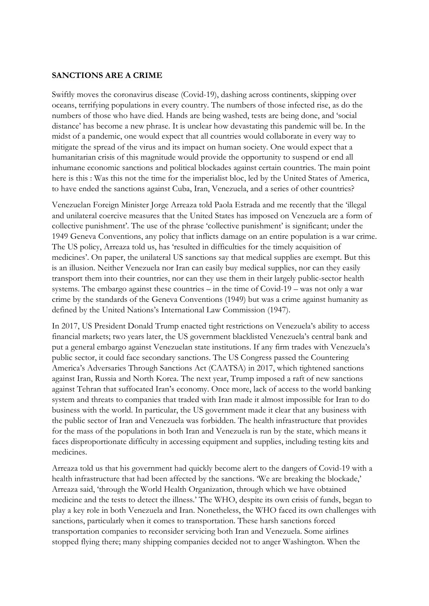## **SANCTIONS ARE A CRIME**

Swiftly moves the coronavirus disease (Covid-19), dashing across continents, skipping over oceans, terrifying populations in every country. The numbers of those infected rise, as do the numbers of those who have died. Hands are being washed, tests are being done, and 'social distance' has become a new phrase. It is unclear how devastating this pandemic will be. In the midst of a pandemic, one would expect that all countries would collaborate in every way to mitigate the spread of the virus and its impact on human society. One would expect that a humanitarian crisis of this magnitude would provide the opportunity to suspend or end all inhumane economic sanctions and political blockades against certain countries. The main point here is this : Was this not the time for the imperialist bloc, led by the United States of America, to have ended the sanctions against Cuba, Iran, Venezuela, and a series of other countries?

Venezuelan Foreign Minister Jorge Arreaza told Paola Estrada and me recently that the 'illegal and unilateral coercive measures that the United States has imposed on Venezuela are a form of collective punishment'. The use of the phrase 'collective punishment' is significant; under the 1949 Geneva Conventions, any policy that inflicts damage on an entire population is a war crime. The US policy, Arreaza told us, has 'resulted in difficulties for the timely acquisition of medicines'. On paper, the unilateral US sanctions say that medical supplies are exempt. But this is an illusion. Neither Venezuela nor Iran can easily buy medical supplies, nor can they easily transport them into their countries, nor can they use them in their largely public-sector health systems. The embargo against these countries – in the time of Covid-19 – was not only a war crime by the standards of the Geneva Conventions (1949) but was a crime against humanity as defined by the United Nations's International Law Commission (1947).

In 2017, US President Donald Trump enacted tight restrictions on Venezuela's ability to access financial markets; two years later, the US government blacklisted Venezuela's central bank and put a general embargo against Venezuelan state institutions. If any firm trades with Venezuela's public sector, it could face secondary sanctions. The US Congress passed the Countering America's Adversaries Through Sanctions Act (CAATSA) in 2017, which tightened sanctions against Iran, Russia and North Korea. The next year, Trump imposed a raft of new sanctions against Tehran that suffocated Iran's economy. Once more, lack of access to the world banking system and threats to companies that traded with Iran made it almost impossible for Iran to do business with the world. In particular, the US government made it clear that any business with the public sector of Iran and Venezuela was forbidden. The health infrastructure that provides for the mass of the populations in both Iran and Venezuela is run by the state, which means it faces disproportionate difficulty in accessing equipment and supplies, including testing kits and medicines.

Arreaza told us that his government had quickly become alert to the dangers of Covid-19 with a health infrastructure that had been affected by the sanctions. 'We are breaking the blockade,' Arreaza said, 'through the World Health Organization, through which we have obtained medicine and the tests to detect the illness.' The WHO, despite its own crisis of funds, began to play a key role in both Venezuela and Iran. Nonetheless, the WHO faced its own challenges with sanctions, particularly when it comes to transportation. These harsh sanctions forced transportation companies to reconsider servicing both Iran and Venezuela. Some airlines stopped flying there; many shipping companies decided not to anger Washington. When the